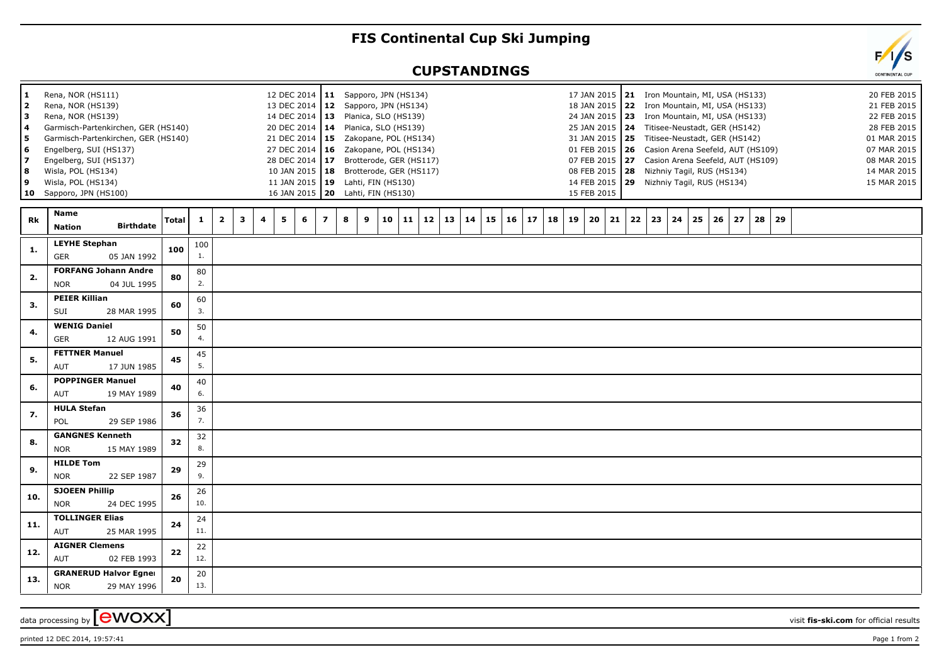## **FIS Continental Cup Ski Jumping**

## **CUPSTANDINGS**



data processing by **CWOXX**  $\overline{\phantom{a}}$  visit **fis-ski.com** for official results